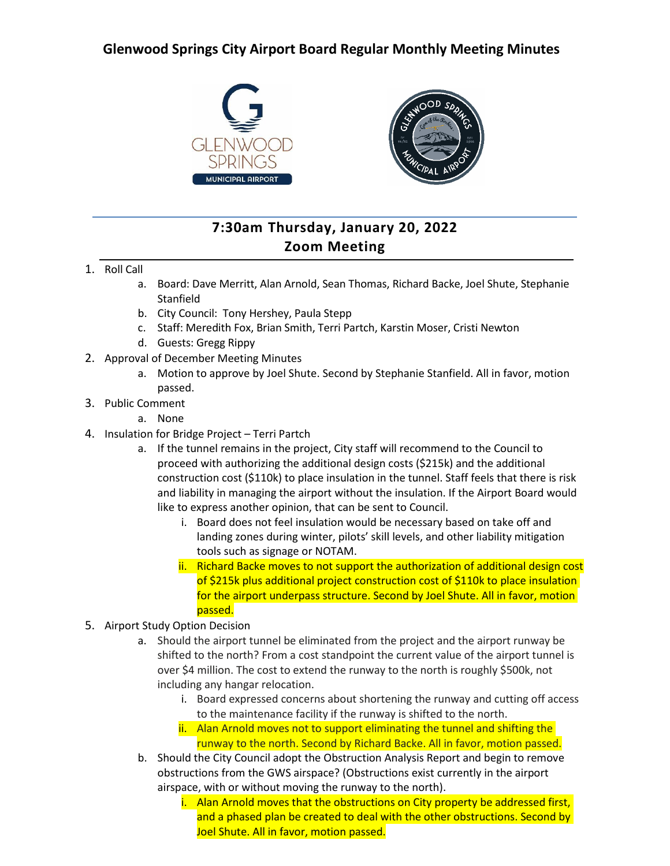## **Glenwood Springs City Airport Board Regular Monthly Meeting Minutes**



## **7:30am Thursday, January 20, 2022 Zoom Meeting**

- 1. Roll Call
	- a. Board: Dave Merritt, Alan Arnold, Sean Thomas, Richard Backe, Joel Shute, Stephanie Stanfield
	- b. City Council: Tony Hershey, Paula Stepp
	- c. Staff: Meredith Fox, Brian Smith, Terri Partch, Karstin Moser, Cristi Newton
	- d. Guests: Gregg Rippy
- 2. Approval of December Meeting Minutes
	- a. Motion to approve by Joel Shute. Second by Stephanie Stanfield. All in favor, motion passed.
- 3. Public Comment
	- a. None
- 4. Insulation for Bridge Project Terri Partch
	- a. If the tunnel remains in the project, City staff will recommend to the Council to proceed with authorizing the additional design costs (\$215k) and the additional construction cost (\$110k) to place insulation in the tunnel. Staff feels that there is risk and liability in managing the airport without the insulation. If the Airport Board would like to express another opinion, that can be sent to Council.
		- i. Board does not feel insulation would be necessary based on take off and landing zones during winter, pilots' skill levels, and other liability mitigation tools such as signage or NOTAM.
		- ii. Richard Backe moves to not support the authorization of additional design cost of \$215k plus additional project construction cost of \$110k to place insulation for the airport underpass structure. Second by Joel Shute. All in favor, motion passed.
- 5. Airport Study Option Decision
	- a. Should the airport tunnel be eliminated from the project and the airport runway be shifted to the north? From a cost standpoint the current value of the airport tunnel is over \$4 million. The cost to extend the runway to the north is roughly \$500k, not including any hangar relocation.
		- i. Board expressed concerns about shortening the runway and cutting off access to the maintenance facility if the runway is shifted to the north.
		- ii. Alan Arnold moves not to support eliminating the tunnel and shifting the runway to the north. Second by Richard Backe. All in favor, motion passed.
	- b. Should the City Council adopt the Obstruction Analysis Report and begin to remove obstructions from the GWS airspace? (Obstructions exist currently in the airport airspace, with or without moving the runway to the north).
		- i. Alan Arnold moves that the obstructions on City property be addressed first, and a phased plan be created to deal with the other obstructions. Second by Joel Shute. All in favor, motion passed.